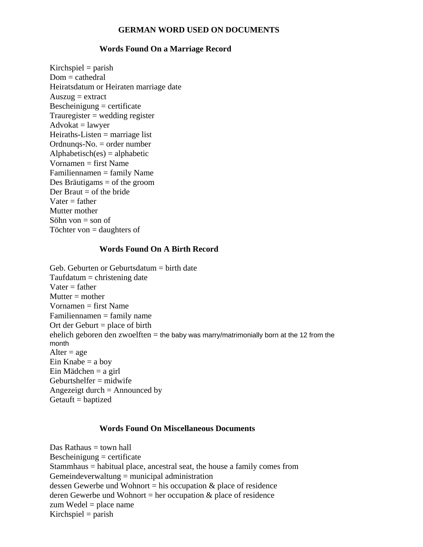### **GERMAN WORD USED ON DOCUMENTS**

#### **Words Found On a Marriage Record**

 $Kirchspiel = parish$  $Dom = cathedral$ Heiratsdatum or Heiraten marriage date  $A$ uszug = extract Bescheinigung = certificate  $Trauregister = *wedding* register$  $Advokat = lawyer$  $Heiraths-Listen = marriage list$ Ordnunqs-No. = order number  $Alphabetic(s) = alphabetic$ Vornamen = first Name Familiennamen = family Name Des Bräutigams = of the groom Der Braut  $=$  of the bride  $Vater = father$ Mutter mother Söhn von  $=$  son of Töchter von = daughters of

# **Words Found On A Birth Record**

Geb. Geburten or Geburtsdatum  $=$  birth date  $Tautdatum =$ christening date  $Vater = father$  $Mutter = mother$  $V$ ornamen  $=$  first Name Familiennamen = family name Ort der Geburt  $=$  place of birth ehelich geboren den zwoelften  $=$  the baby was marry/matrimonially born at the 12 from the month Alter  $=$  age Ein Knabe  $=$  a boy  $Ein Mädchen = a girl$  $Gebutth$ shelfer = midwife Angezeigt durch = Announced by  $Getauft = baptized$ 

#### **Words Found On Miscellaneous Documents**

Das Rathaus  $=$  town hall  $Bescheinigung = certificance$ Stammhaus = habitual place, ancestral seat, the house a family comes from  $Gemeindeverwaltung = municipal administration$ dessen Gewerbe und Wohnort = his occupation  $\&$  place of residence deren Gewerbe und Wohnort = her occupation  $\&$  place of residence zum Wedel = place name Kirchspiel  $=$  parish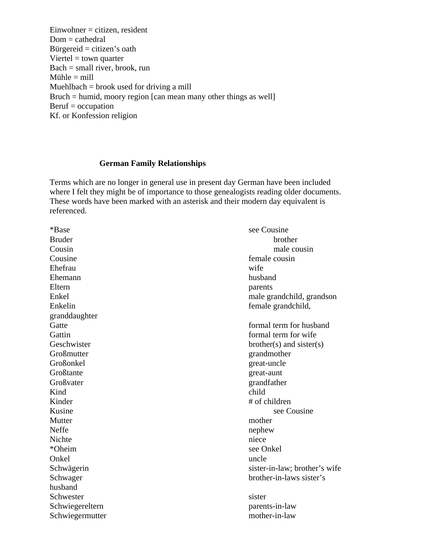$E$ inwohner = citizen, resident  $Dom = cathedral$ Bürgereid  $=$  citizen's oath Viertel  $=$  town quarter  $Bach = small river, brook, run$ Mühle  $=$  mill Muehlbach = brook used for driving a mill Bruch = humid, moory region [can mean many other things as well]  $Beruf = occupation$ Kf. or Konfession religion

### **German Family Relationships**

Terms which are no longer in general use in present day German have been included where I felt they might be of importance to those genealogists reading older documents. These words have been marked with an asterisk and their modern day equivalent is referenced.

\*Base see Cousine Bruder brother brother Cousin male cousin Cousine female cousin Ehefrau wife Ehemann husband Eltern parents parents Enkel male grandchild, grandson Enkelin female grandchild, granddaughter Gatte **Gatte Gatte Formal term for husband** Gattin **Gattin Gattin Gattin Gattin Gattin Gattin Gattin Gattin Gattin Gattin Gattin Gattin Gattin Gattin Gattin Gattin Gattin Gattin Gattin Gattin Gattin Gattin Gattin Gattin** Geschwister brother(s) and sister(s) Großmutter grandmother Großonkel great-uncle Großtante great-aunt Großvater grandfather Kind child Kinder # of children Kusine see Cousine Mutter mother Neffe nephew Nichte niece \*Oheim see Onkel Onkel uncle uncle Schwägerin sister-in-law; brother's wife Schwager brother-in-laws sister's husband Schwester sister Schwiegereltern parents-in-law Schwiegermutter mother-in-law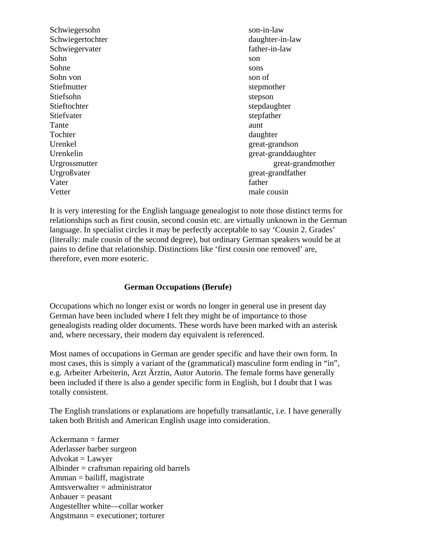Schwiegersohn son-in-law Schwiegertochter daughter-in-law Schwiegervater father-in-law Sohn son Sohne sons Sohn von son of Stiefmutter stepmother Stiefsohn stepson Stieftochter stepdaughter stepdaughter Stiefvater stepfather Tante aunt Tochter daughter daughter Urenkel great-grandson Urenkelin great-granddaughter Urgrossmutter great-grandmother Urgroßvater great-grandfather Vater father father Vetter male cousin

It is very interesting for the English language genealogist to note those distinct terms for relationships such as first cousin, second cousin etc. are virtually unknown in the German language. In specialist circles it may be perfectly acceptable to say 'Cousin 2. Grades' (literally: male cousin of the second degree), but ordinary German speakers would be at pains to define that relationship. Distinctions like 'first cousin one removed' are, therefore, even more esoteric.

# **German Occupations (Berufe)**

Occupations which no longer exist or words no longer in general use in present day German have been included where I felt they might be of importance to those genealogists reading older documents. These words have been marked with an asterisk and, where necessary, their modern day equivalent is referenced.

Most names of occupations in German are gender specific and have their own form. In most cases, this is simply a variant of the (grammatical) masculine form ending in "in", e.g. Arbeiter Arbeiterin, Arzt Ärztin, Autor Autorin. The female forms have generally been included if there is also a gender specific form in English, but I doubt that I was totally consistent.

The English translations or explanations are hopefully transatlantic, i.e. I have generally taken both British and American English usage into consideration.

 $A<sub>c</sub>$  Ackermann = farmer Aderlasser barber surgeon  $Advokat = Lawyer$ Albinder = craftsman repairing old barrels  $A<sub>mman</sub> = \text{bailiff},$  magistrate Amtsverwalter = administrator  $Anbauer = p easant$ Angestellter white—collar worker Angstmann = executioner; torturer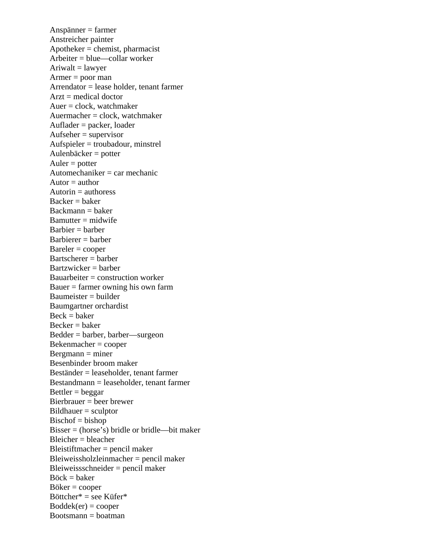Anspänner = farmer Anstreicher painter  $Apotheker = chemist, pharmacist$ Arbeiter = blue—collar worker  $A$ riwalt = lawyer  $Armer = poor man$ Arrendator = lease holder, tenant farmer  $Arzt = medical doctor$  $Auer = clock$ , watchmaker Auermacher  $=$  clock, watchmaker Auflader = packer, loader  $Aufseher = supervisor$ Aufspieler = troubadour, minstrel Aulenbäcker = potter  $Auler = potter$ Automechaniker  $=$  car mechanic Autor  $=$  author Autorin  $=$  authoress  $Backer = baker$  $Backmann = baker$  $B$ amutter = midwife  $Barbier = barber$ Barbierer = barber  $Bareler =  $cooper$$ Bartscherer = barber  $Bartzwicker = barber$ Bauarbeiter = construction worker Bauer  $=$  farmer owning his own farm Baumeister = builder Baumgartner orchardist  $Beck = baker$  $Becker = baker$ Bedder = barber, barber—surgeon Bekenmacher = cooper  $Bergmann = miner$ Besenbinder broom maker Beständer = leaseholder, tenant farmer Bestandmann = leaseholder, tenant farmer  $Bettler = beggar$ Bierbrauer = beer brewer Bildhauer = sculptor  $Bischof = bishop$ Bisser = (horse's) bridle or bridle—bit maker  $Bleicher = bleacher$ Bleistiftmacher = pencil maker Bleiweissholzleinmacher = pencil maker Bleiweissschneider = pencil maker  $Böck = baker$  $Böker = *cooper*$ Böttcher\* = see Küfer\*  $Boddek(er) = cooper$  $Bootsmann = *boatman*$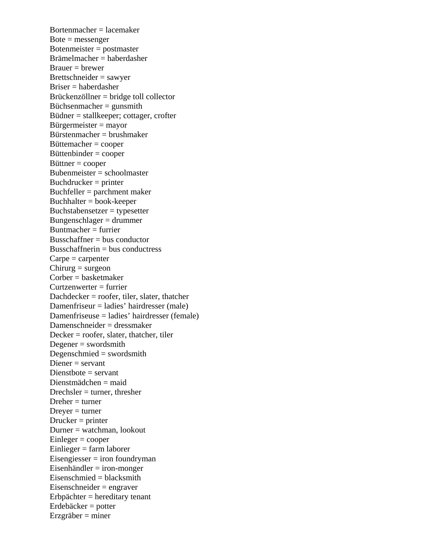Bortenmacher = lacemaker  $Bote =$  messenger Botenmeister = postmaster Brämelmacher = haberdasher  $Brauer = brewer$ Brettschneider = sawyer Briser = haberdasher Brückenzöllner = bridge toll collector Büchsenmacher = gunsmith Büdner = stallkeeper; cottager, crofter Bürgermeister = mayor Bürstenmacher = brushmaker Büttemacher = cooper Büttenbinder = cooper  $Bittner = cooper$ Bubenmeister = schoolmaster Buchdrucker = printer Buchfeller = parchment maker Buchhalter = book-keeper  $Buchstabensetzer = typesetter$ Bungenschlager = drummer Buntmacher = furrier  $Busschaftner = bus conductor$  $Busschaffnerin = bus conductress$  $C$ arpe = carpenter  $Chirurg = surgeon$ Corber = basketmaker  $Current$ zenwerter = furrier Dachdecker = roofer, tiler, slater, thatcher Damenfriseur = ladies' hairdresser (male) Damenfriseuse = ladies' hairdresser (female) Damenschneider = dressmaker Decker = roofer, slater, thatcher, tiler Degener = swordsmith Degenschmied = swordsmith Diener = servant Dienstbote = servant Dienstmädchen = maid  $Drechsler = turner, thresher$  $D$ reher = turner  $Drever = turner$  $Drucker = printer$ Durner = watchman, lookout  $Einleger = cooper$ Einlieger = farm laborer Eisengiesser = iron foundryman Eisenhändler = iron-monger  $Eisenschmied = blacksmith$ Eisenschneider = engraver Erbpächter = hereditary tenant Erdebäcker = potter  $E$ rzgräber = miner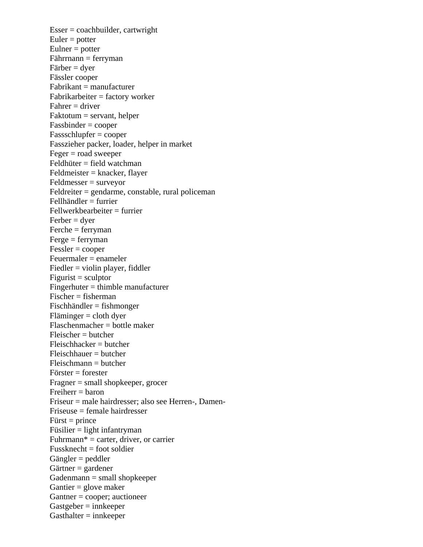$Esser = coachbuilder, cartwright$  $Euler = potter$  $Eulner = potter$ Fährrnann = ferryman Färber = dyer Fässler cooper Fabrikant = manufacturer Fabrikarbeiter = factory worker  $F\$ {a}hrer = driver Faktotum = servant, helper Fassbinder = cooper Fassschlupfer = cooper Fasszieher packer, loader, helper in market  $Feger = road sweeper$ Feldhüter = field watchman Feldmeister = knacker, flayer Feldmesser = surveyor Feldreiter = gendarme, constable, rural policeman Fellhändler = furrier Fellwerkbearbeiter = furrier  $Ferber = dyer$  $Ferche = ferryman$  $Ferge = ferryman$  $Fessler = cooper$ Feuermaler = enameler Fiedler = violin player, fiddler  $Figure 1 = \frac{1}{2}$ Fingerhuter = thimble manufacturer Fischer = fisherman Fischhändler = fishmonger Fläminger = cloth dyer Flaschenmacher = bottle maker Fleischer = butcher Fleischhacker = butcher Fleischhauer = butcher  $F$ leischmann = butcher Förster = forester Fragner = small shopkeeper, grocer  $Freiherr = baron$ Friseur = male hairdresser; also see Herren-, Damen-Friseuse = female hairdresser  $First = prince$  $Füsilier = light infantryman$  $Fuhrmann* = \text{carter}, \text{ driver}, \text{ or carrier}$  $Fussknecht = foot soldier$ Gängler = peddler Gärtner = gardener  $G$ adenmann = small shopkeeper Gantier = glove maker Gantner = cooper; auctioneer  $G$ astgeber = innkeeper  $G$ asthalter = innkeeper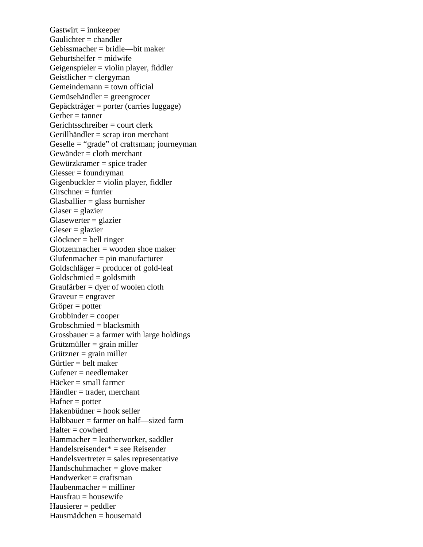$G$ astwirt = innkeeper  $Gaulichter = **channeler**$ Gebissmacher = bridle—bit maker  $Gebutshelfer = midwife$ Geigenspieler = violin player, fiddler  $Geistlicher = clergyman$ Gemeindemann = town official Gemüsehändler = greengrocer Gepäckträger = porter (carries luggage)  $Gerber = tanner$ Gerichtsschreiber = court clerk Gerillhändler = scrap iron merchant Geselle = "grade" of craftsman; journeyman Gewänder = cloth merchant Gewürzkramer = spice trader Giesser = foundryman  $Gigenbucket = violin player, fiddler$  $Girschner = furrier$  $G$ lasballier = glass burnisher  $Glaser = glazier$ Glasewerter = glazier  $Gleser = glazier$ Glöckner = bell ringer  $G$ lotzenmacher = wooden shoe maker Glufenmacher = pin manufacturer Goldschläger = producer of gold-leaf Goldschmied = goldsmith Graufärber = dyer of woolen cloth  $Gr$ aveur = engraver Gröper = potter Grobbinder = cooper Grobschmied = blacksmith Grossbauer  $=$  a farmer with large holdings  $Grützmüller = grain miller$  $Grützner = grain$  miller  $G$ ürtler = belt maker Gufener = needlemaker Häcker = small farmer Händler = trader, merchant  $Hafner = potter$ Hakenbüdner = hook seller Halbbauer = farmer on half—sized farm  $H$ alter = cowherd Hammacher = leatherworker, saddler Handelsreisender\* = see Reisender Handelsvertreter = sales representative Handschuhmacher = glove maker  $H$ andwerker = craftsman  $Haubenmacher = milliner$  $H$ ausfrau = housewife Hausierer = peddler Hausmädchen = housemaid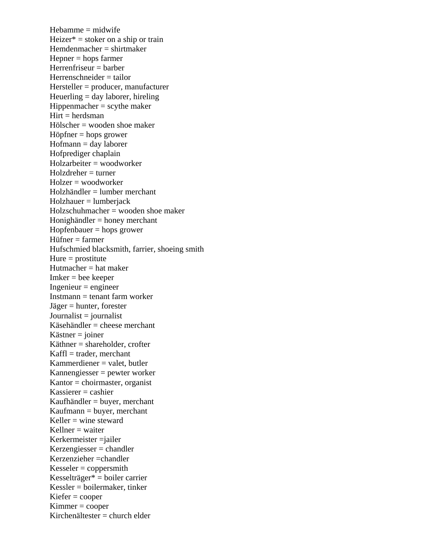Hebamme = midwife  $Heizer* = stoker on a ship or train$ Hemdenmacher = shirtmaker Hepner = hops farmer  $H$ errenfriseur = barber Herrenschneider = tailor Hersteller = producer, manufacturer Heuerling = day laborer, hireling  $Hippemmacher = scythe maker$  $Hirt = herd<sub>sman</sub>$ Hölscher = wooden shoe maker Höpfner = hops grower Hofmann = day laborer Hofprediger chaplain Holzarbeiter = woodworker Holzdreher = turner Holzer = woodworker Holzhändler = lumber merchant Holzhauer = lumberjack Holzschuhmacher = wooden shoe maker Honighändler = honey merchant Hopfenbauer = hops grower Hüfner = farmer Hufschmied blacksmith, farrier, shoeing smith Hure  $=$  prostitute Hutmacher  $=$  hat maker  $Imker =$  bee keeper  $Ingenieur = engineer$ Instmann = tenant farm worker Jäger = hunter, forester  $Journalist = journalist$ Käsehändler = cheese merchant  $K$ ästner = joiner Käthner = shareholder, crofter  $Kaffl = trader$ , merchant Kammerdiener = valet, butler Kannengiesser = pewter worker Kantor  $=$  choirmaster, organist  $K$ assierer = cashier Kaufhändler = buyer, merchant Kaufmann = buyer, merchant Keller  $=$  wine steward  $K$ ellner = waiter Kerkermeister =jailer Kerzengiesser = chandler Kerzenzieher =chandler  $Kesseler = *conpersmith*$ Kesselträger\* = boiler carrier Kessler = boilermaker, tinker  $Kiefer = cooper$ Kimmer = cooper Kirchenältester = church elder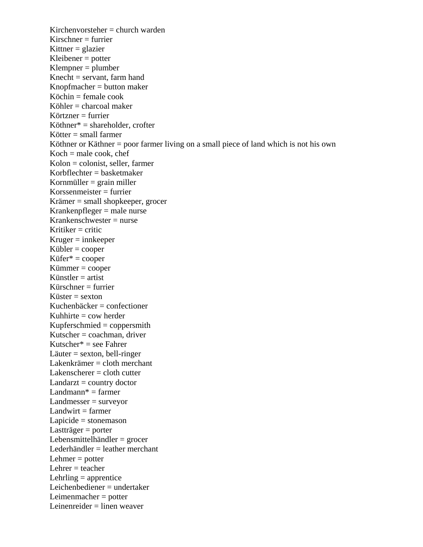$Kirchenvorstcher = church warden$  $Kirschner = furrier$ Kittner  $=$  glazier  $K$ leibener = potter Klempner = plumber  $Knecht =$  servant, farm hand Knopfmacher = button maker  $K$ öchin = female cook Köhler = charcoal maker  $K\ddot{\mathrm{o}}$ rtzner = furrier Köthner\* = shareholder, crofter Kötter = small farmer Köthner or Käthner = poor farmer living on a small piece of land which is not his own  $Koch = male \, cookie$ , chef  $Kolon = colonist, seller, farmer$ Korbflechter = basketmaker Kornmüller  $=$  grain miller  $K$ orssenmeister = furrier Krämer = small shopkeeper, grocer Krankenpfleger = male nurse Krankenschwester = nurse Kritiker  $=$  critic  $Kruger = innkeeper$  $Kübler = cooper$  $K\ddot{\text{u}}$ fer\* = cooper Kümmer = cooper Künstler  $=$  artist  $K$ ürschner  $=$  furrier Küster  $=$  sexton Kuchenbäcker = confectioner Kuhhirte  $=$  cow herder Kupferschmied = coppersmith Kutscher  $=$  coachman, driver Kutscher\* = see Fahrer Läuter = sexton, bell-ringer Lakenkrämer = cloth merchant Lakenscherer = cloth cutter  $Landarzt = country doctor$ Landmann $* =$  farmer Landmesser = surveyor  $Landwirt = farmer$ Lapicide = stonemason Lastträger = porter Lebensmittelhändler = grocer Lederhändler = leather merchant Lehmer  $=$  potter Lehrer  $=$  teacher Lehrling  $=$  apprentice Leichenbediener = undertaker Leimenmacher = potter Leinenreider = linen weaver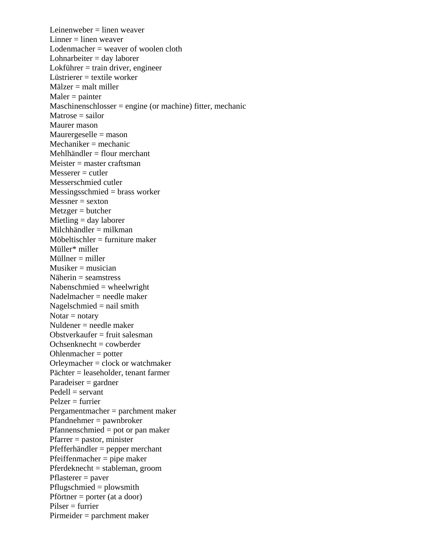Leinenweber = linen weaver Linner  $=$  linen weaver  $Lodenmacher = weaver of woolen cloth$ Lohnarbeiter = day laborer Lokführer = train driver, engineer Lüstrierer  $=$  textile worker Mälzer = malt miller  $Maler = painter$ Maschinenschlosser = engine (or machine) fitter, mechanic  $M \text{atrose} = \text{salor}$ Maurer mason Maurergeselle = mason  $Mechaniker = mechanic$  $Mehlhändler = flour merchant$  $Meister = master \operatorname{craftsman}$  $M$ esserer = cutler Messerschmied cutler Messingsschmied = brass worker  $Messner = sexton$  $Metzger = butcher$ Mietling = day laborer Milchhändler  $=$  milkman Möbeltischler = furniture maker Müller\* miller Müllner = miller  $Musiker = musician$ Näherin = seamstress Nabenschmied = wheelwright Nadelmacher = needle maker Nagelschmied = nail smith  $Notar = notary$ Nuldener = needle maker Obstverkaufer  $=$  fruit salesman  $Ochsenknecht = cowberder$ Ohlenmacher = potter Orleymacher = clock or watchmaker Pächter = leaseholder, tenant farmer Paradeiser = gardner  $Pedell =$  servant Pelzer = furrier Pergamentmacher = parchment maker Pfandnehmer = pawnbroker Pfannenschmied = pot or pan maker Pfarrer = pastor, minister Pfefferhändler = pepper merchant Pfeiffenmacher = pipe maker Pferdeknecht = stableman, groom  $Pflasterer = power$ Pflugschmied = plowsmith Pförtner = porter (at a door)  $Pilser = furrier$ Pirmeider = parchment maker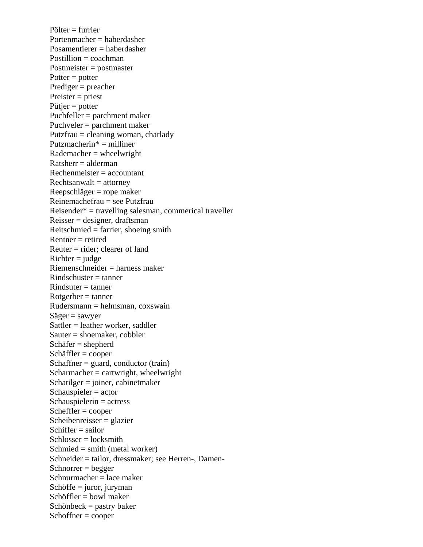Pölter = furrier Portenmacher = haberdasher Posamentierer = haberdasher  $Position = coachman$ Postmeister = postmaster  $Potter = potter$ Prediger = preacher Preister = priest Pütjer = potter Puchfeller = parchment maker Puchveler = parchment maker Putzfrau = cleaning woman, charlady Putzmacherin\* = milliner  $Rademacher = wheelwright$  $Ratsherr = alderman$ Rechenmeister = accountant  $Rechtsanwalt = attornev$ Reepschläger = rope maker Reinemachefrau = see Putzfrau Reisender\* = travelling salesman, commerical traveller  $Reisser = designer, draffsman$ Reitschmied = farrier, shoeing smith Rentner = retired Reuter = rider; clearer of land  $Richter = judge$ Riemenschneider = harness maker  $Rindschuster = tanner$  $Rindsuter = tanner$  $Rotgerber = tanner$ Rudersmann = helmsman, coxswain  $Säger = sawyer$ Sattler = leather worker, saddler Sauter = shoemaker, cobbler Schäfer = shepherd Schäffler = cooper  $Schaftner = guard$ , conductor (train)  $Scharmacher = cartwright, wheelwright$ Schatilger = joiner, cabinetmaker Schauspieler  $=$  actor Schauspielerin = actress Scheffler = cooper Scheibenreisser = glazier Schiffer  $=$  sailor  $Schlosser = locksmith$  $Schmied = smith (metal worker)$ Schneider = tailor, dressmaker; see Herren-, Damen- $Schnor **degree**$ Schnurmacher = lace maker  $Schöffe = juror, juryman$ Schöffler = bowl maker  $Schönbeck =$  pastry baker Schoffner = cooper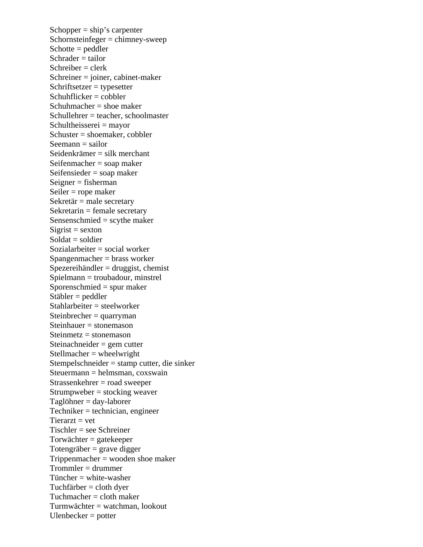Schopper  $=$  ship's carpenter Schornsteinfeger = chimney-sweep  $Schotte = peddler$  $Schrader = tailor$  $S$ chreiber = clerk Schreiner = joiner, cabinet-maker Schriftsetzer = typesetter Schuhflicker = cobbler  $Schuhmacher =$ shoe maker  $Schulle  $z = teacher$ , schoolmaster$ Schultheisserei = mayor Schuster = shoemaker, cobbler  $Seeman = sailor$ Seidenkrämer = silk merchant Seifenmacher = soap maker Seifensieder = soap maker  $Seigner = fisherman$ Seiler = rope maker Sekretär = male secretary  $Sekretarin = female secretary$ Sensenschmied = scythe maker  $S$ igrist = sexton  $Soldat = soldier$ Sozialarbeiter = social worker Spangenmacher = brass worker  $S$ pezereihändler = druggist, chemist Spielmann = troubadour, minstrel Sporenschmied = spur maker Stäbler = peddler Stahlarbeiter = steelworker Steinbrecher = quarryman Steinhauer = stonemason  $Steinmetz = stonemason$ Steinachneider = gem cutter Stellmacher = wheelwright Stempelschneider = stamp cutter, die sinker Steuermann = helmsman, coxswain Strassenkehrer = road sweeper  $Strumpweber = stocking weaver$ Taglöhner = day-laborer Techniker = technician, engineer  $Tierarzt = vet$ Tischler = see Schreiner Torwächter = gatekeeper Totengräber = grave digger  $Trippenmacher = wooden$  shoe maker Trommler = drummer  $T$ üncher = white-washer Tuchfärber = cloth dyer Tuchmacher = cloth maker Turmwächter = watchman, lookout Ulenbecker = potter